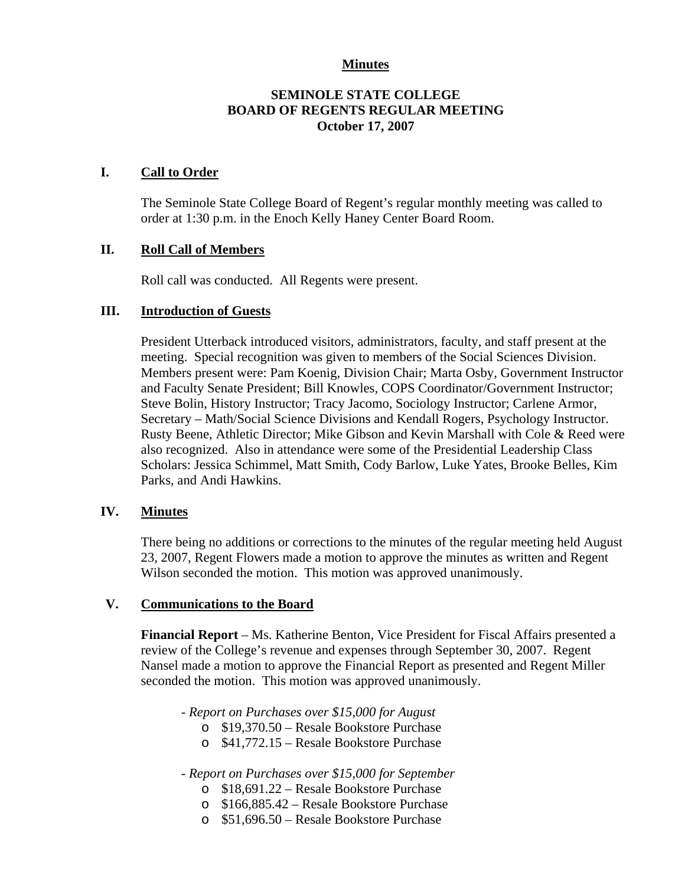### **Minutes**

### **SEMINOLE STATE COLLEGE BOARD OF REGENTS REGULAR MEETING October 17, 2007**

#### **I. Call to Order**

The Seminole State College Board of Regent's regular monthly meeting was called to order at 1:30 p.m. in the Enoch Kelly Haney Center Board Room.

# **II. Roll Call of Members**

Roll call was conducted. All Regents were present.

#### **III. Introduction of Guests**

President Utterback introduced visitors, administrators, faculty, and staff present at the meeting. Special recognition was given to members of the Social Sciences Division. Members present were: Pam Koenig, Division Chair; Marta Osby, Government Instructor and Faculty Senate President; Bill Knowles, COPS Coordinator/Government Instructor; Steve Bolin, History Instructor; Tracy Jacomo, Sociology Instructor; Carlene Armor, Secretary – Math/Social Science Divisions and Kendall Rogers, Psychology Instructor. Rusty Beene, Athletic Director; Mike Gibson and Kevin Marshall with Cole & Reed were also recognized. Also in attendance were some of the Presidential Leadership Class Scholars: Jessica Schimmel, Matt Smith, Cody Barlow, Luke Yates, Brooke Belles, Kim Parks, and Andi Hawkins.

#### **IV. Minutes**

There being no additions or corrections to the minutes of the regular meeting held August 23, 2007, Regent Flowers made a motion to approve the minutes as written and Regent Wilson seconded the motion. This motion was approved unanimously.

#### **V. Communications to the Board**

**Financial Report** – Ms. Katherine Benton, Vice President for Fiscal Affairs presented a review of the College's revenue and expenses through September 30, 2007. Regent Nansel made a motion to approve the Financial Report as presented and Regent Miller seconded the motion. This motion was approved unanimously.

*- Report on Purchases over \$15,000 for August* 

- o \$19,370.50 Resale Bookstore Purchase
- o \$41,772.15 Resale Bookstore Purchase

*- Report on Purchases over \$15,000 for September* 

- o \$18,691.22 Resale Bookstore Purchase
- o \$166,885.42 Resale Bookstore Purchase
- o \$51,696.50 Resale Bookstore Purchase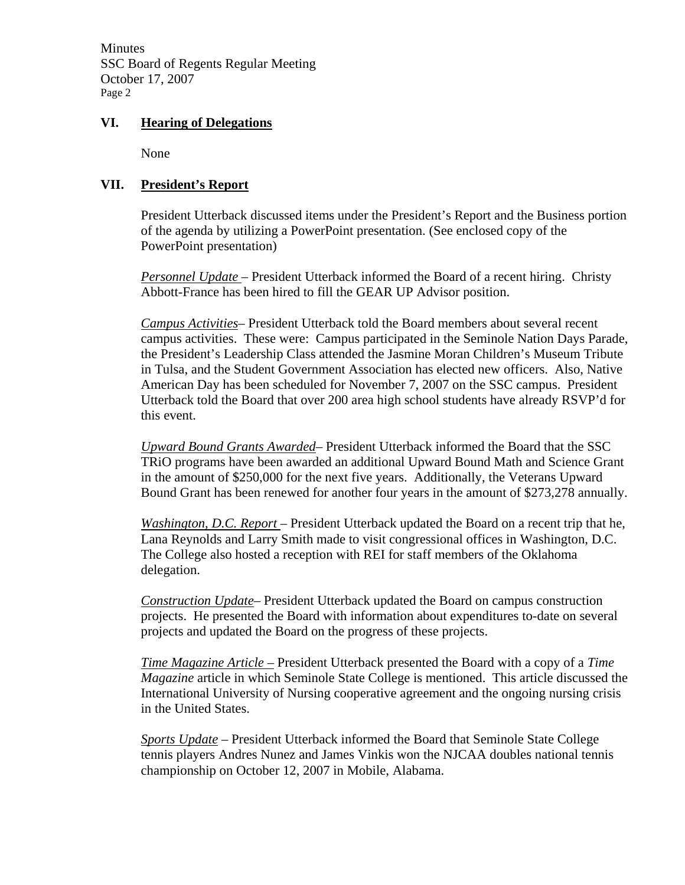Minutes SSC Board of Regents Regular Meeting October 17, 2007 Page 2

## **VI. Hearing of Delegations**

None

# **VII. President's Report**

President Utterback discussed items under the President's Report and the Business portion of the agenda by utilizing a PowerPoint presentation. (See enclosed copy of the PowerPoint presentation)

*Personnel Update* – President Utterback informed the Board of a recent hiring. Christy Abbott-France has been hired to fill the GEAR UP Advisor position.

*Campus Activities*– President Utterback told the Board members about several recent campus activities. These were: Campus participated in the Seminole Nation Days Parade, the President's Leadership Class attended the Jasmine Moran Children's Museum Tribute in Tulsa, and the Student Government Association has elected new officers. Also, Native American Day has been scheduled for November 7, 2007 on the SSC campus. President Utterback told the Board that over 200 area high school students have already RSVP'd for this event.

*Upward Bound Grants Awarded*– President Utterback informed the Board that the SSC TRiO programs have been awarded an additional Upward Bound Math and Science Grant in the amount of \$250,000 for the next five years. Additionally, the Veterans Upward Bound Grant has been renewed for another four years in the amount of \$273,278 annually.

*Washington, D.C. Report* – President Utterback updated the Board on a recent trip that he, Lana Reynolds and Larry Smith made to visit congressional offices in Washington, D.C. The College also hosted a reception with REI for staff members of the Oklahoma delegation.

*Construction Update*– President Utterback updated the Board on campus construction projects. He presented the Board with information about expenditures to-date on several projects and updated the Board on the progress of these projects.

*Time Magazine Article –* President Utterback presented the Board with a copy of a *Time Magazine* article in which Seminole State College is mentioned. This article discussed the International University of Nursing cooperative agreement and the ongoing nursing crisis in the United States.

*Sports Update* – President Utterback informed the Board that Seminole State College tennis players Andres Nunez and James Vinkis won the NJCAA doubles national tennis championship on October 12, 2007 in Mobile, Alabama.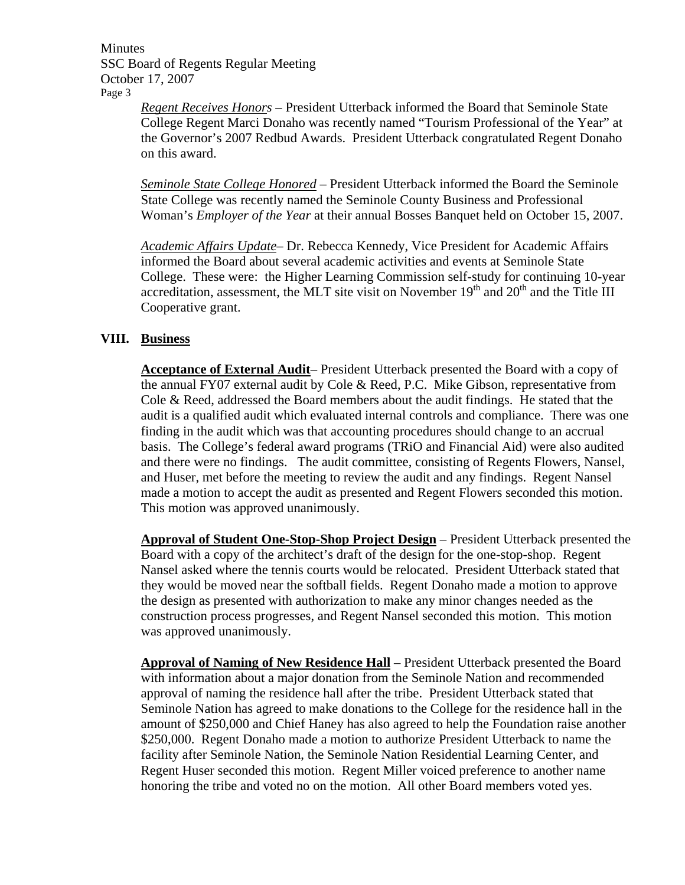Minutes SSC Board of Regents Regular Meeting October 17, 2007 Page 3

> *Regent Receives Honors* – President Utterback informed the Board that Seminole State College Regent Marci Donaho was recently named "Tourism Professional of the Year" at the Governor's 2007 Redbud Awards. President Utterback congratulated Regent Donaho on this award.

> *Seminole State College Honored* – President Utterback informed the Board the Seminole State College was recently named the Seminole County Business and Professional Woman's *Employer of the Year* at their annual Bosses Banquet held on October 15, 2007.

> *Academic Affairs Update*– Dr. Rebecca Kennedy, Vice President for Academic Affairs informed the Board about several academic activities and events at Seminole State College. These were: the Higher Learning Commission self-study for continuing 10-year accreditation, assessment, the MLT site visit on November  $19<sup>th</sup>$  and  $20<sup>th</sup>$  and the Title III Cooperative grant.

## **VIII. Business**

**Acceptance of External Audit**– President Utterback presented the Board with a copy of the annual FY07 external audit by Cole & Reed, P.C. Mike Gibson, representative from Cole & Reed, addressed the Board members about the audit findings. He stated that the audit is a qualified audit which evaluated internal controls and compliance. There was one finding in the audit which was that accounting procedures should change to an accrual basis. The College's federal award programs (TRiO and Financial Aid) were also audited and there were no findings. The audit committee, consisting of Regents Flowers, Nansel, and Huser, met before the meeting to review the audit and any findings. Regent Nansel made a motion to accept the audit as presented and Regent Flowers seconded this motion. This motion was approved unanimously.

**Approval of Student One-Stop-Shop Project Design** – President Utterback presented the Board with a copy of the architect's draft of the design for the one-stop-shop. Regent Nansel asked where the tennis courts would be relocated. President Utterback stated that they would be moved near the softball fields. Regent Donaho made a motion to approve the design as presented with authorization to make any minor changes needed as the construction process progresses, and Regent Nansel seconded this motion. This motion was approved unanimously.

**Approval of Naming of New Residence Hall** – President Utterback presented the Board with information about a major donation from the Seminole Nation and recommended approval of naming the residence hall after the tribe. President Utterback stated that Seminole Nation has agreed to make donations to the College for the residence hall in the amount of \$250,000 and Chief Haney has also agreed to help the Foundation raise another \$250,000. Regent Donaho made a motion to authorize President Utterback to name the facility after Seminole Nation, the Seminole Nation Residential Learning Center, and Regent Huser seconded this motion. Regent Miller voiced preference to another name honoring the tribe and voted no on the motion. All other Board members voted yes.